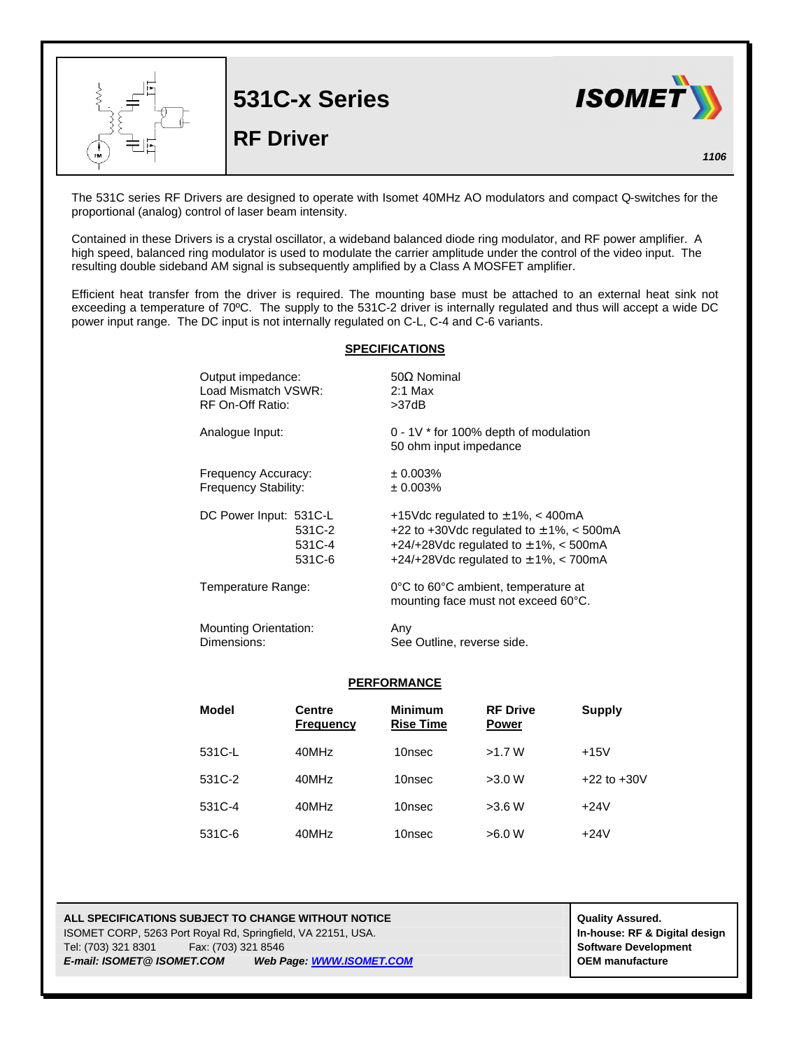

The 531C series RF Drivers are designed to operate with Isomet 40MHz AO modulators and compact Q-switches for the proportional (analog) control of laser beam intensity.

Contained in these Drivers is a crystal oscillator, a wideband balanced diode ring modulator, and RF power amplifier. A high speed, balanced ring modulator is used to modulate the carrier amplitude under the control of the video input. The resulting double sideband AM signal is subsequently amplified by a Class A MOSFET amplifier.

Efficient heat transfer from the driver is required. The mounting base must be attached to an external heat sink not exceeding a temperature of 70ºC. The supply to the 531C-2 driver is internally regulated and thus will accept a wide DC power input range. The DC input is not internally regulated on C-L, C-4 and C-6 variants.

## **SPECIFICATIONS**

| Output impedance:            | $50\Omega$ Nominal                                                         |  |
|------------------------------|----------------------------------------------------------------------------|--|
| Load Mismatch VSWR:          | $2:1$ Max                                                                  |  |
| RF On-Off Ratio:             | >37dB                                                                      |  |
| Analogue Input:              | $0 - 1V$ * for 100% depth of modulation<br>50 ohm input impedance          |  |
| Frequency Accuracy:          | ± 0.003%                                                                   |  |
| Frequency Stability:         | ± 0.003%                                                                   |  |
| DC Power Input: 531C-L       | +15Vdc regulated to $\pm$ 1%, < 400mA                                      |  |
| 531C-2                       | +22 to +30Vdc regulated to $\pm$ 1%, < 500mA                               |  |
| 531C-4                       | +24/+28Vdc regulated to $\pm$ 1%, < 500mA                                  |  |
| 531C-6                       | +24/+28Vdc regulated to $\pm$ 1%, < 700mA                                  |  |
| Temperature Range:           | 0°C to 60°C ambient, temperature at<br>mounting face must not exceed 60°C. |  |
| <b>Mounting Orientation:</b> | Any                                                                        |  |
| Dimensions:                  | See Outline, reverse side.                                                 |  |

## **PERFORMANCE**

| Model  | <b>Centre</b><br><b>Frequency</b> | <b>Minimum</b><br><b>Rise Time</b> | <b>RF Drive</b><br><b>Power</b> | Supply          |
|--------|-----------------------------------|------------------------------------|---------------------------------|-----------------|
| 531C-L | 40MHz                             | 10nsec                             | >1.7 W                          | $+15V$          |
| 531C-2 | 40MHz                             | 10nsec                             | >3.0 W                          | $+22$ to $+30V$ |
| 531C-4 | 40MHz                             | 10nsec                             | >3.6 W                          | $+24V$          |
| 531C-6 | 40MHz                             | 10nsec                             | >6.0 W                          | $+24V$          |

**ALL SPECIFICATIONS SUBJECT TO CHANGE WITHOUT NOTICE ALL SPECIFICATIONS SUBJECT TO CHANGE WITHOUT NOTICE** ISOMET CORP, 5263 Port Royal Rd, Springfield, VA 22151, USA. **In-house: RF & Digital design** Tel: (703) 321 8301 Fax: (703) 321 8546 **Software Development** *E-mail: ISOMET@ ISOMET.COM Web Page: WWW.ISOMET.COM* **OEM manufacture**